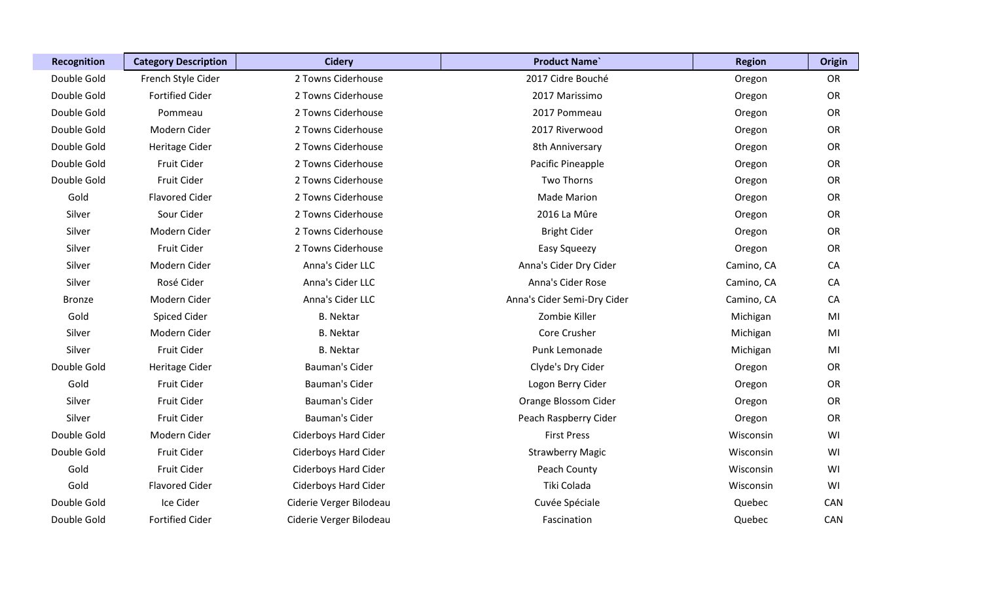| Recognition   | <b>Category Description</b> | <b>Cidery</b>               | <b>Product Name</b>         | <b>Region</b> | <b>Origin</b> |
|---------------|-----------------------------|-----------------------------|-----------------------------|---------------|---------------|
| Double Gold   | French Style Cider          | 2 Towns Ciderhouse          | 2017 Cidre Bouché           | Oregon        | OR            |
| Double Gold   | <b>Fortified Cider</b>      | 2 Towns Ciderhouse          | 2017 Marissimo              | Oregon        | OR            |
| Double Gold   | Pommeau                     | 2 Towns Ciderhouse          | 2017 Pommeau                | Oregon        | OR            |
| Double Gold   | Modern Cider                | 2 Towns Ciderhouse          | 2017 Riverwood              | Oregon        | <b>OR</b>     |
| Double Gold   | Heritage Cider              | 2 Towns Ciderhouse          | 8th Anniversary             | Oregon        | OR            |
| Double Gold   | Fruit Cider                 | 2 Towns Ciderhouse          | Pacific Pineapple           | Oregon        | OR            |
| Double Gold   | Fruit Cider                 | 2 Towns Ciderhouse          | <b>Two Thorns</b>           | Oregon        | <b>OR</b>     |
| Gold          | <b>Flavored Cider</b>       | 2 Towns Ciderhouse          | <b>Made Marion</b>          | Oregon        | <b>OR</b>     |
| Silver        | Sour Cider                  | 2 Towns Ciderhouse          | 2016 La Mûre                | Oregon        | <b>OR</b>     |
| Silver        | Modern Cider                | 2 Towns Ciderhouse          | <b>Bright Cider</b>         | Oregon        | OR            |
| Silver        | Fruit Cider                 | 2 Towns Ciderhouse          | Easy Squeezy                | Oregon        | <b>OR</b>     |
| Silver        | Modern Cider                | Anna's Cider LLC            | Anna's Cider Dry Cider      | Camino, CA    | CA            |
| Silver        | Rosé Cider                  | Anna's Cider LLC            | Anna's Cider Rose           | Camino, CA    | CA            |
| <b>Bronze</b> | Modern Cider                | Anna's Cider LLC            | Anna's Cider Semi-Dry Cider | Camino, CA    | CA            |
| Gold          | Spiced Cider                | <b>B.</b> Nektar            | Zombie Killer               | Michigan      | MI            |
| Silver        | Modern Cider                | <b>B.</b> Nektar            | Core Crusher                | Michigan      | MI            |
| Silver        | Fruit Cider                 | <b>B.</b> Nektar            | Punk Lemonade               | Michigan      | MI            |
| Double Gold   | Heritage Cider              | Bauman's Cider              | Clyde's Dry Cider           | Oregon        | OR            |
| Gold          | Fruit Cider                 | <b>Bauman's Cider</b>       | Logon Berry Cider           | Oregon        | OR            |
| Silver        | Fruit Cider                 | Bauman's Cider              | Orange Blossom Cider        | Oregon        | OR            |
| Silver        | Fruit Cider                 | Bauman's Cider              | Peach Raspberry Cider       | Oregon        | OR            |
| Double Gold   | Modern Cider                | <b>Ciderboys Hard Cider</b> | <b>First Press</b>          | Wisconsin     | WI            |
| Double Gold   | Fruit Cider                 | <b>Ciderboys Hard Cider</b> | <b>Strawberry Magic</b>     | Wisconsin     | WI            |
| Gold          | Fruit Cider                 | <b>Ciderboys Hard Cider</b> | Peach County                | Wisconsin     | WI            |
| Gold          | <b>Flavored Cider</b>       | <b>Ciderboys Hard Cider</b> | Tiki Colada                 | Wisconsin     | WI            |
| Double Gold   | Ice Cider                   | Ciderie Verger Bilodeau     | Cuvée Spéciale              | Quebec        | CAN           |
| Double Gold   | <b>Fortified Cider</b>      | Ciderie Verger Bilodeau     | Fascination                 | Quebec        | CAN           |

I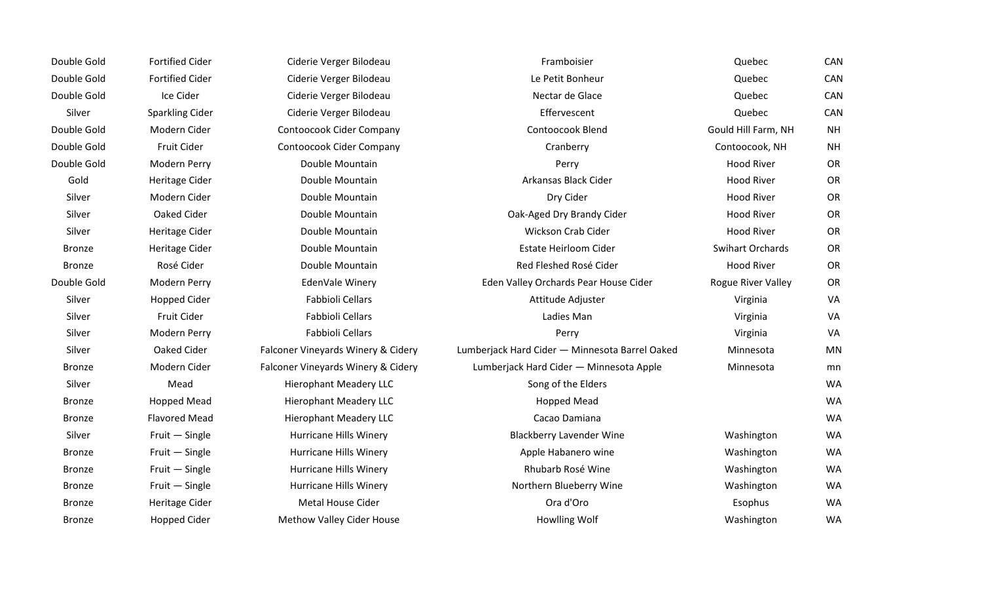| Double Gold   | <b>Fortified Cider</b> | Ciderie Verger Bilodeau            | Framboisier                                    | Quebec                  | CAN       |
|---------------|------------------------|------------------------------------|------------------------------------------------|-------------------------|-----------|
| Double Gold   | <b>Fortified Cider</b> | Ciderie Verger Bilodeau            | Le Petit Bonheur                               | Quebec                  | CAN       |
| Double Gold   | Ice Cider              | Ciderie Verger Bilodeau            | Nectar de Glace                                | Quebec                  | CAN       |
| Silver        | <b>Sparkling Cider</b> | Ciderie Verger Bilodeau            | Effervescent                                   | Quebec                  | CAN       |
| Double Gold   | Modern Cider           | Contoocook Cider Company           | Contoocook Blend                               | Gould Hill Farm, NH     | <b>NH</b> |
| Double Gold   | Fruit Cider            | Contoocook Cider Company           | Cranberry                                      | Contoocook, NH          | <b>NH</b> |
| Double Gold   | Modern Perry           | Double Mountain                    | Perry                                          | <b>Hood River</b>       | <b>OR</b> |
| Gold          | Heritage Cider         | Double Mountain                    | Arkansas Black Cider                           | <b>Hood River</b>       | OR        |
| Silver        | Modern Cider           | Double Mountain                    | Dry Cider                                      | <b>Hood River</b>       | OR        |
| Silver        | Oaked Cider            | Double Mountain                    | Oak-Aged Dry Brandy Cider                      | <b>Hood River</b>       | OR        |
| Silver        | Heritage Cider         | Double Mountain                    | Wickson Crab Cider                             | <b>Hood River</b>       | OR        |
| <b>Bronze</b> | Heritage Cider         | Double Mountain                    | Estate Heirloom Cider                          | <b>Swihart Orchards</b> | <b>OR</b> |
| <b>Bronze</b> | Rosé Cider             | Double Mountain                    | Red Fleshed Rosé Cider                         | <b>Hood River</b>       | OR        |
| Double Gold   | Modern Perry           | EdenVale Winery                    | Eden Valley Orchards Pear House Cider          | Rogue River Valley      | OR        |
| Silver        | <b>Hopped Cider</b>    | Fabbioli Cellars                   | Attitude Adjuster                              | Virginia                | VA        |
| Silver        | Fruit Cider            | Fabbioli Cellars                   | Ladies Man                                     | Virginia                | VA        |
| Silver        | Modern Perry           | Fabbioli Cellars                   | Perry                                          | Virginia                | VA        |
| Silver        | Oaked Cider            | Falconer Vineyards Winery & Cidery | Lumberjack Hard Cider - Minnesota Barrel Oaked | Minnesota               | <b>MN</b> |
| <b>Bronze</b> | Modern Cider           | Falconer Vineyards Winery & Cidery | Lumberjack Hard Cider - Minnesota Apple        | Minnesota               | mn        |
| Silver        | Mead                   | <b>Hierophant Meadery LLC</b>      | Song of the Elders                             |                         | <b>WA</b> |
| <b>Bronze</b> | <b>Hopped Mead</b>     | <b>Hierophant Meadery LLC</b>      | <b>Hopped Mead</b>                             |                         | <b>WA</b> |
| <b>Bronze</b> | <b>Flavored Mead</b>   | <b>Hierophant Meadery LLC</b>      | Cacao Damiana                                  |                         | <b>WA</b> |
| Silver        | Fruit - Single         | Hurricane Hills Winery             | <b>Blackberry Lavender Wine</b>                | Washington              | <b>WA</b> |
| <b>Bronze</b> | Fruit - Single         | <b>Hurricane Hills Winery</b>      | Apple Habanero wine                            | Washington              | <b>WA</b> |
| <b>Bronze</b> | Fruit - Single         | Hurricane Hills Winery             | Rhubarb Rosé Wine                              | Washington              | <b>WA</b> |
| <b>Bronze</b> | Fruit - Single         | Hurricane Hills Winery             | Northern Blueberry Wine                        | Washington              | <b>WA</b> |
| <b>Bronze</b> | Heritage Cider         | Metal House Cider                  | Ora d'Oro                                      | Esophus                 | <b>WA</b> |
| <b>Bronze</b> | <b>Hopped Cider</b>    | <b>Methow Valley Cider House</b>   | Howlling Wolf                                  | Washington              | WA        |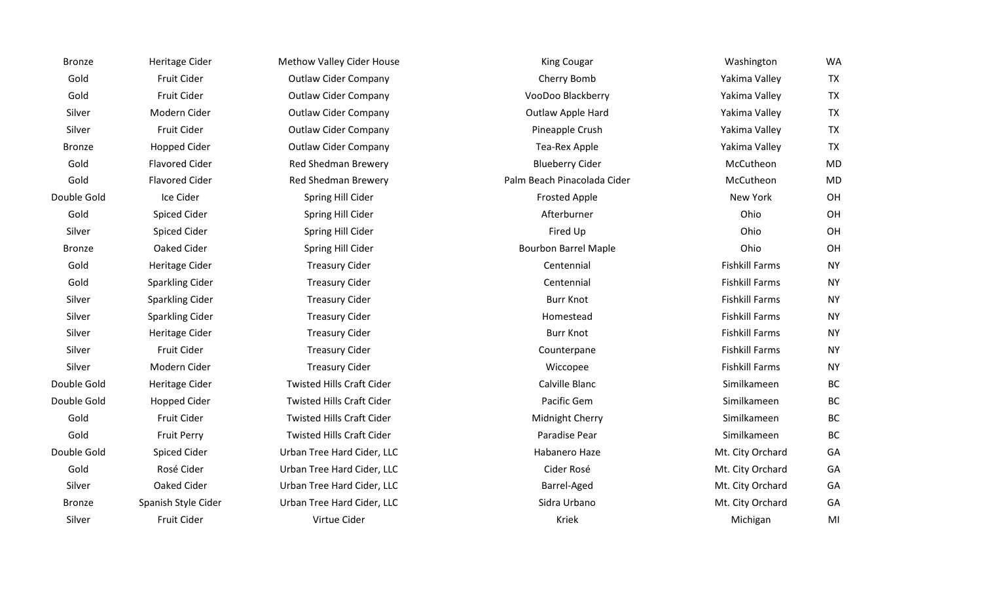| <b>Bronze</b> | Heritage Cider         | Methow Valley Cider House        | <b>King Cougar</b>          | Washington            | <b>WA</b> |
|---------------|------------------------|----------------------------------|-----------------------------|-----------------------|-----------|
| Gold          | Fruit Cider            | <b>Outlaw Cider Company</b>      | Cherry Bomb                 | Yakima Valley         | <b>TX</b> |
| Gold          | Fruit Cider            | <b>Outlaw Cider Company</b>      | VooDoo Blackberry           | Yakima Valley         | <b>TX</b> |
| Silver        | Modern Cider           | <b>Outlaw Cider Company</b>      | Outlaw Apple Hard           | Yakima Valley         | <b>TX</b> |
| Silver        | Fruit Cider            | <b>Outlaw Cider Company</b>      | Pineapple Crush             | Yakima Valley         | <b>TX</b> |
| <b>Bronze</b> | <b>Hopped Cider</b>    | <b>Outlaw Cider Company</b>      | Tea-Rex Apple               | Yakima Valley         | <b>TX</b> |
| Gold          | <b>Flavored Cider</b>  | <b>Red Shedman Brewery</b>       | <b>Blueberry Cider</b>      | McCutheon             | <b>MD</b> |
| Gold          | <b>Flavored Cider</b>  | <b>Red Shedman Brewery</b>       | Palm Beach Pinacolada Cider | McCutheon             | <b>MD</b> |
| Double Gold   | Ice Cider              | Spring Hill Cider                | <b>Frosted Apple</b>        | New York              | OH        |
| Gold          | Spiced Cider           | Spring Hill Cider                | Afterburner                 | Ohio                  | OH        |
| Silver        | Spiced Cider           | Spring Hill Cider                | Fired Up                    | Ohio                  | OH        |
| <b>Bronze</b> | Oaked Cider            | Spring Hill Cider                | <b>Bourbon Barrel Maple</b> | Ohio                  | OH        |
| Gold          | Heritage Cider         | <b>Treasury Cider</b>            | Centennial                  | <b>Fishkill Farms</b> | <b>NY</b> |
| Gold          | <b>Sparkling Cider</b> | <b>Treasury Cider</b>            | Centennial                  | <b>Fishkill Farms</b> | <b>NY</b> |
| Silver        | <b>Sparkling Cider</b> | <b>Treasury Cider</b>            | <b>Burr Knot</b>            | <b>Fishkill Farms</b> | <b>NY</b> |
| Silver        | <b>Sparkling Cider</b> | <b>Treasury Cider</b>            | Homestead                   | <b>Fishkill Farms</b> | <b>NY</b> |
| Silver        | Heritage Cider         | <b>Treasury Cider</b>            | <b>Burr Knot</b>            | <b>Fishkill Farms</b> | <b>NY</b> |
| Silver        | Fruit Cider            | <b>Treasury Cider</b>            | Counterpane                 | <b>Fishkill Farms</b> | <b>NY</b> |
| Silver        | Modern Cider           | <b>Treasury Cider</b>            | Wiccopee                    | <b>Fishkill Farms</b> | <b>NY</b> |
| Double Gold   | Heritage Cider         | <b>Twisted Hills Craft Cider</b> | Calville Blanc              | Similkameen           | BC        |
| Double Gold   | <b>Hopped Cider</b>    | <b>Twisted Hills Craft Cider</b> | Pacific Gem                 | Similkameen           | <b>BC</b> |
| Gold          | Fruit Cider            | <b>Twisted Hills Craft Cider</b> | Midnight Cherry             | Similkameen           | BC        |
| Gold          | <b>Fruit Perry</b>     | <b>Twisted Hills Craft Cider</b> | Paradise Pear               | Similkameen           | <b>BC</b> |
| Double Gold   | Spiced Cider           | Urban Tree Hard Cider, LLC       | Habanero Haze               | Mt. City Orchard      | GA        |
| Gold          | Rosé Cider             | Urban Tree Hard Cider, LLC       | Cider Rosé                  | Mt. City Orchard      | GA        |
| Silver        | Oaked Cider            | Urban Tree Hard Cider, LLC       | Barrel-Aged                 | Mt. City Orchard      | GA        |
| <b>Bronze</b> | Spanish Style Cider    | Urban Tree Hard Cider, LLC       | Sidra Urbano                | Mt. City Orchard      | GA        |
| Silver        | Fruit Cider            | Virtue Cider                     | Kriek                       | Michigan              | MI        |